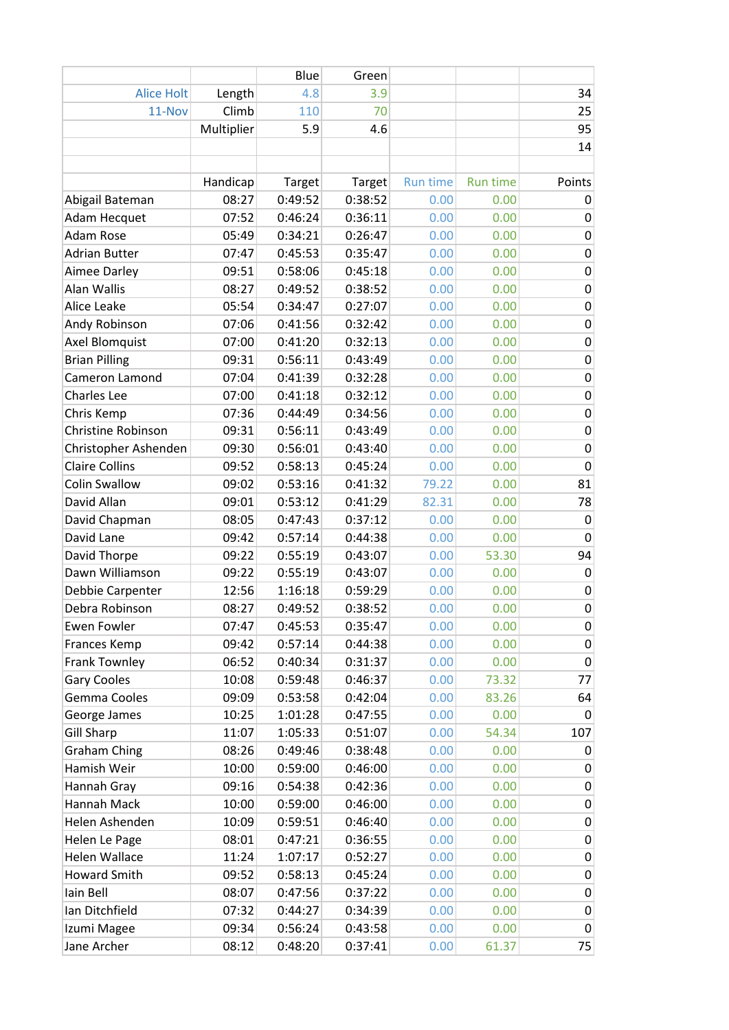|                           |            | Blue    | Green   |          |                 |             |
|---------------------------|------------|---------|---------|----------|-----------------|-------------|
| <b>Alice Holt</b>         | Length     | 4.8     | 3.9     |          |                 | 34          |
| 11-Nov                    | Climb      | 110     | 70      |          |                 | 25          |
|                           | Multiplier | 5.9     | 4.6     |          |                 | 95          |
|                           |            |         |         |          |                 | 14          |
|                           |            |         |         |          |                 |             |
|                           | Handicap   | Target  | Target  | Run time | <b>Run time</b> | Points      |
| Abigail Bateman           | 08:27      | 0:49:52 | 0:38:52 | 0.00     | 0.00            | 0           |
| Adam Hecquet              | 07:52      | 0:46:24 | 0:36:11 | 0.00     | 0.00            | 0           |
| Adam Rose                 | 05:49      | 0:34:21 | 0:26:47 | 0.00     | 0.00            | 0           |
| <b>Adrian Butter</b>      | 07:47      | 0:45:53 | 0:35:47 | 0.00     | 0.00            | 0           |
| Aimee Darley              | 09:51      | 0:58:06 | 0:45:18 | 0.00     | 0.00            | $\pmb{0}$   |
| Alan Wallis               | 08:27      | 0:49:52 | 0:38:52 | 0.00     | 0.00            | 0           |
| Alice Leake               | 05:54      | 0:34:47 | 0:27:07 | 0.00     | 0.00            | $\pmb{0}$   |
| Andy Robinson             | 07:06      | 0:41:56 | 0:32:42 | 0.00     | 0.00            | 0           |
| <b>Axel Blomquist</b>     | 07:00      | 0:41:20 | 0:32:13 | 0.00     | 0.00            | $\pmb{0}$   |
| <b>Brian Pilling</b>      | 09:31      | 0:56:11 | 0:43:49 | 0.00     | 0.00            | $\pmb{0}$   |
| Cameron Lamond            | 07:04      | 0:41:39 | 0:32:28 | 0.00     | 0.00            | $\mathbf 0$ |
| <b>Charles Lee</b>        | 07:00      | 0:41:18 | 0:32:12 | 0.00     | 0.00            | 0           |
| Chris Kemp                | 07:36      | 0:44:49 | 0:34:56 | 0.00     | 0.00            | 0           |
| <b>Christine Robinson</b> | 09:31      | 0:56:11 | 0:43:49 | 0.00     | 0.00            | $\pmb{0}$   |
| Christopher Ashenden      | 09:30      | 0:56:01 | 0:43:40 | 0.00     | 0.00            | 0           |
| <b>Claire Collins</b>     | 09:52      | 0:58:13 | 0:45:24 | 0.00     | 0.00            | $\mathbf 0$ |
| <b>Colin Swallow</b>      | 09:02      | 0:53:16 | 0:41:32 | 79.22    | 0.00            | 81          |
| David Allan               | 09:01      | 0:53:12 | 0:41:29 | 82.31    | 0.00            | 78          |
| David Chapman             | 08:05      | 0:47:43 | 0:37:12 | 0.00     | 0.00            | $\mathbf 0$ |
| David Lane                | 09:42      | 0:57:14 | 0:44:38 | 0.00     | 0.00            | 0           |
| David Thorpe              | 09:22      | 0:55:19 | 0:43:07 | 0.00     | 53.30           | 94          |
| Dawn Williamson           | 09:22      | 0:55:19 | 0:43:07 | 0.00     | 0.00            | 0           |
| Debbie Carpenter          | 12:56      | 1:16:18 | 0:59:29 | 0.00     | 0.00            | 0           |
| Debra Robinson            | 08:27      | 0:49:52 | 0:38:52 | 0.00     | 0.00            | $\mathbf 0$ |
| Ewen Fowler               | 07:47      | 0:45:53 | 0:35:47 | 0.00     | 0.00            | 0           |
| Frances Kemp              | 09:42      | 0:57:14 | 0:44:38 | 0.00     | 0.00            | 0           |
| Frank Townley             | 06:52      | 0:40:34 | 0:31:37 | 0.00     | 0.00            | $\pmb{0}$   |
| <b>Gary Cooles</b>        | 10:08      | 0:59:48 | 0:46:37 | 0.00     | 73.32           | 77          |
| Gemma Cooles              | 09:09      | 0:53:58 | 0:42:04 | 0.00     | 83.26           | 64          |
| George James              | 10:25      | 1:01:28 | 0:47:55 | 0.00     | 0.00            | 0           |
| <b>Gill Sharp</b>         | 11:07      | 1:05:33 | 0:51:07 | 0.00     | 54.34           | 107         |
| <b>Graham Ching</b>       | 08:26      | 0:49:46 | 0:38:48 | 0.00     | 0.00            | 0           |
| Hamish Weir               | 10:00      | 0:59:00 | 0:46:00 | 0.00     | 0.00            | 0           |
| Hannah Gray               | 09:16      | 0:54:38 | 0:42:36 | 0.00     | 0.00            | 0           |
| Hannah Mack               | 10:00      | 0:59:00 | 0:46:00 | 0.00     | 0.00            | 0           |
| Helen Ashenden            | 10:09      | 0:59:51 | 0:46:40 | 0.00     | 0.00            | $\pmb{0}$   |
| Helen Le Page             | 08:01      | 0:47:21 | 0:36:55 | 0.00     | 0.00            | 0           |
| <b>Helen Wallace</b>      | 11:24      | 1:07:17 | 0:52:27 | 0.00     | 0.00            | $\pmb{0}$   |
| <b>Howard Smith</b>       | 09:52      | 0:58:13 | 0:45:24 | 0.00     | 0.00            | 0           |
| Iain Bell                 | 08:07      | 0:47:56 | 0:37:22 | 0.00     | 0.00            | 0           |
| Ian Ditchfield            | 07:32      | 0:44:27 | 0:34:39 | 0.00     | 0.00            | 0           |
| Izumi Magee               | 09:34      | 0:56:24 | 0:43:58 | 0.00     | 0.00            | 0           |
| Jane Archer               | 08:12      | 0:48:20 | 0:37:41 | 0.00     | 61.37           | 75          |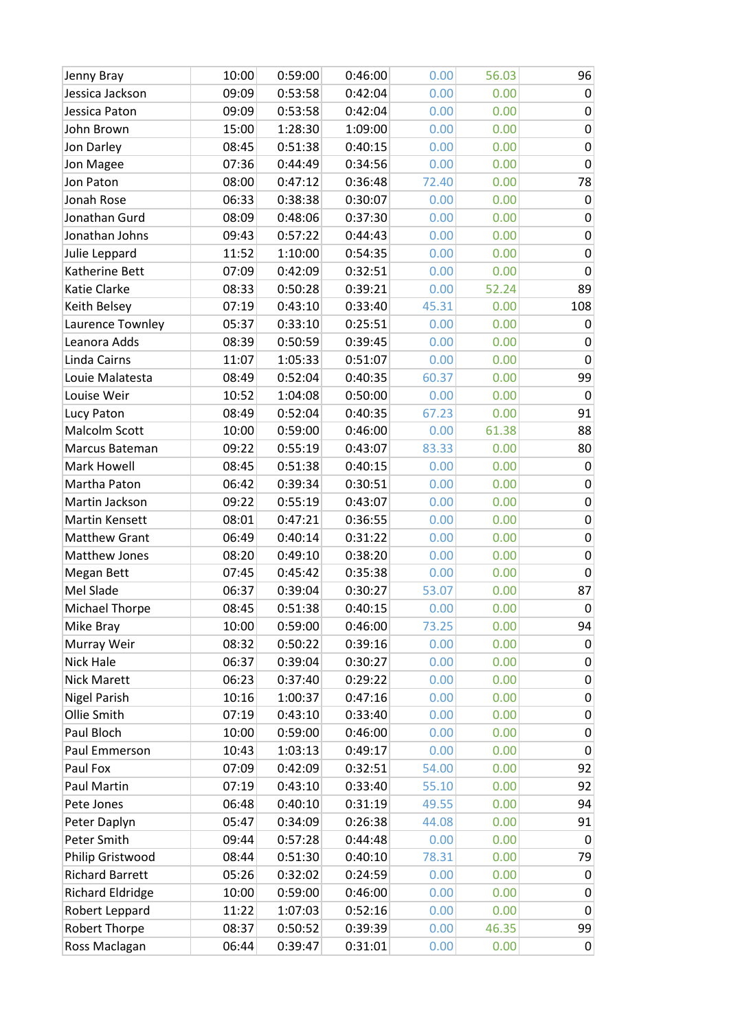| Jenny Bray              | 10:00 | 0:59:00 | 0:46:00 | 0.00  | 56.03 | 96             |
|-------------------------|-------|---------|---------|-------|-------|----------------|
| Jessica Jackson         | 09:09 | 0:53:58 | 0:42:04 | 0.00  | 0.00  | 0              |
| Jessica Paton           | 09:09 | 0:53:58 | 0:42:04 | 0.00  | 0.00  | 0              |
| John Brown              | 15:00 | 1:28:30 | 1:09:00 | 0.00  | 0.00  | 0              |
| Jon Darley              | 08:45 | 0:51:38 | 0:40:15 | 0.00  | 0.00  | 0              |
| Jon Magee               | 07:36 | 0:44:49 | 0:34:56 | 0.00  | 0.00  | $\mathbf 0$    |
| Jon Paton               | 08:00 | 0:47:12 | 0:36:48 | 72.40 | 0.00  | 78             |
| Jonah Rose              | 06:33 | 0:38:38 | 0:30:07 | 0.00  | 0.00  | 0              |
| Jonathan Gurd           | 08:09 | 0:48:06 | 0:37:30 | 0.00  | 0.00  | 0              |
| Jonathan Johns          | 09:43 | 0:57:22 | 0:44:43 | 0.00  | 0.00  | 0              |
| Julie Leppard           | 11:52 | 1:10:00 | 0:54:35 | 0.00  | 0.00  | 0              |
| Katherine Bett          | 07:09 | 0:42:09 | 0:32:51 | 0.00  | 0.00  | 0              |
| Katie Clarke            | 08:33 | 0:50:28 | 0:39:21 | 0.00  | 52.24 | 89             |
| Keith Belsey            | 07:19 | 0:43:10 | 0:33:40 | 45.31 | 0.00  | 108            |
| Laurence Townley        | 05:37 | 0:33:10 | 0:25:51 | 0.00  | 0.00  | 0              |
| Leanora Adds            | 08:39 | 0:50:59 | 0:39:45 | 0.00  | 0.00  | 0              |
| Linda Cairns            | 11:07 | 1:05:33 | 0:51:07 | 0.00  | 0.00  | 0              |
| Louie Malatesta         | 08:49 | 0:52:04 | 0:40:35 | 60.37 | 0.00  | 99             |
| Louise Weir             | 10:52 | 1:04:08 | 0:50:00 | 0.00  | 0.00  | 0              |
| Lucy Paton              | 08:49 | 0:52:04 | 0:40:35 | 67.23 | 0.00  | 91             |
| Malcolm Scott           | 10:00 | 0:59:00 | 0:46:00 | 0.00  | 61.38 | 88             |
| Marcus Bateman          | 09:22 | 0:55:19 | 0:43:07 | 83.33 | 0.00  | 80             |
| Mark Howell             | 08:45 | 0:51:38 | 0:40:15 | 0.00  | 0.00  | $\pmb{0}$      |
| Martha Paton            | 06:42 | 0:39:34 | 0:30:51 | 0.00  | 0.00  | 0              |
| Martin Jackson          | 09:22 | 0:55:19 | 0:43:07 | 0.00  | 0.00  | 0              |
| Martin Kensett          | 08:01 | 0:47:21 | 0:36:55 | 0.00  | 0.00  | 0              |
| <b>Matthew Grant</b>    | 06:49 | 0:40:14 | 0:31:22 | 0.00  | 0.00  | 0              |
| Matthew Jones           | 08:20 | 0:49:10 | 0:38:20 | 0.00  | 0.00  | $\pmb{0}$      |
| Megan Bett              | 07:45 | 0:45:42 | 0:35:38 | 0.00  | 0.00  | 0              |
| Mel Slade               | 06:37 | 0:39:04 | 0:30:27 | 53.07 | 0.00  | 87             |
| <b>Michael Thorpe</b>   | 08:45 | 0:51:38 | 0:40:15 | 0.00  | 0.00  | 0              |
| Mike Bray               | 10:00 | 0:59:00 | 0:46:00 | 73.25 | 0.00  | 94             |
| Murray Weir             | 08:32 | 0:50:22 | 0:39:16 | 0.00  | 0.00  | 0              |
| Nick Hale               | 06:37 | 0:39:04 | 0:30:27 | 0.00  | 0.00  | 0              |
| <b>Nick Marett</b>      | 06:23 | 0:37:40 | 0:29:22 | 0.00  | 0.00  | $\pmb{0}$      |
| <b>Nigel Parish</b>     | 10:16 | 1:00:37 | 0:47:16 | 0.00  | 0.00  | 0              |
| Ollie Smith             | 07:19 | 0:43:10 | 0:33:40 | 0.00  | 0.00  | $\pmb{0}$      |
| Paul Bloch              | 10:00 | 0:59:00 | 0:46:00 | 0.00  | 0.00  | $\pmb{0}$      |
| Paul Emmerson           | 10:43 | 1:03:13 | 0:49:17 | 0.00  | 0.00  | $\mathbf 0$    |
| Paul Fox                | 07:09 | 0:42:09 | 0:32:51 | 54.00 | 0.00  | 92             |
| Paul Martin             | 07:19 | 0:43:10 | 0:33:40 | 55.10 | 0.00  | 92             |
| Pete Jones              | 06:48 | 0:40:10 | 0:31:19 | 49.55 | 0.00  | 94             |
| Peter Daplyn            | 05:47 | 0:34:09 | 0:26:38 | 44.08 | 0.00  | 91             |
| Peter Smith             | 09:44 | 0:57:28 | 0:44:48 | 0.00  | 0.00  | $\pmb{0}$      |
| Philip Gristwood        | 08:44 | 0:51:30 | 0:40:10 | 78.31 | 0.00  | 79             |
| <b>Richard Barrett</b>  | 05:26 | 0:32:02 | 0:24:59 | 0.00  | 0.00  | 0              |
| <b>Richard Eldridge</b> | 10:00 | 0:59:00 | 0:46:00 | 0.00  | 0.00  | 0              |
| Robert Leppard          | 11:22 | 1:07:03 | 0:52:16 | 0.00  | 0.00  | 0              |
| Robert Thorpe           | 08:37 | 0:50:52 | 0:39:39 | 0.00  | 46.35 | 99             |
| Ross Maclagan           | 06:44 | 0:39:47 | 0:31:01 | 0.00  | 0.00  | $\overline{0}$ |